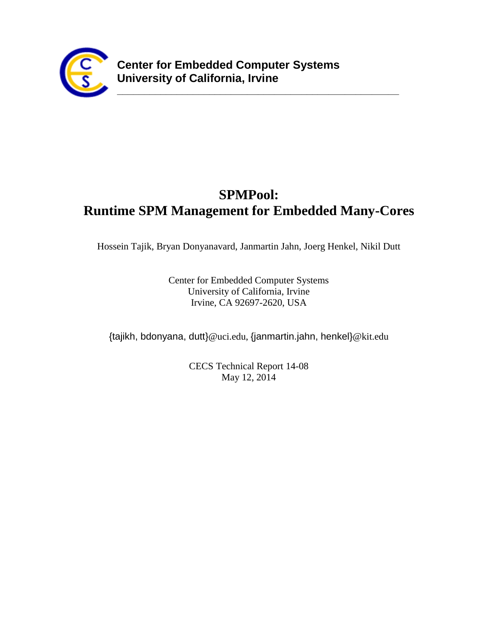

# **SPMPool: Runtime SPM Management for Embedded Many-Cores**

**\_\_\_\_\_\_\_\_\_\_\_\_\_\_\_\_\_\_\_\_\_\_\_\_\_\_\_\_\_\_\_\_\_\_\_\_\_\_\_\_\_\_\_\_\_\_\_\_\_\_\_\_**

Hossein Tajik, Bryan Donyanavard, Janmartin Jahn, Joerg Henkel, Nikil Dutt

Center for Embedded Computer Systems University of California, Irvine Irvine, CA 92697-2620, USA

{tajikh, bdonyana, dutt}@uci.edu, {janmartin.jahn, henkel}@kit.edu

CECS Technical Report 14-08 May 12, 2014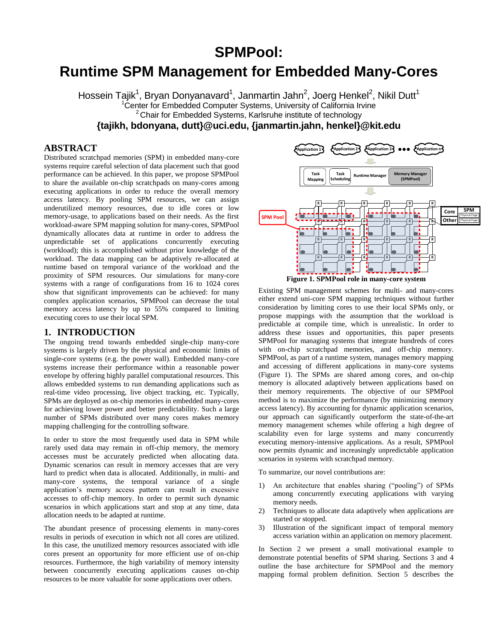# **SPMPool:**

# **Runtime SPM Management for Embedded Many-Cores**

Hossein Tajik<sup>1</sup>, Bryan Donyanavard<sup>1</sup>, Janmartin Jahn<sup>2</sup>, Joerg Henkel<sup>2</sup>, Nikil Dutt<sup>1</sup> <sup>1</sup>Center for Embedded Computer Systems, University of California Irvine <sup>2</sup> Chair for Embedded Systems, Karlsruhe institute of technology **{tajikh, bdonyana, dutt}@uci.edu, {janmartin.jahn, henkel}@kit.edu**

## **ABSTRACT**

Distributed scratchpad memories (SPM) in embedded many-core systems require careful selection of data placement such that good performance can be achieved. In this paper, we propose SPMPool to share the available on-chip scratchpads on many-cores among executing applications in order to reduce the overall memory access latency. By pooling SPM resources, we can assign underutilized memory resources, due to idle cores or low memory-usage, to applications based on their needs. As the first workload-aware SPM mapping solution for many-cores, SPMPool dynamically allocates data at runtime in order to address the unpredictable set of applications concurrently executing (workload); this is accomplished without prior knowledge of the workload. The data mapping can be adaptively re-allocated at runtime based on temporal variance of the workload and the proximity of SPM resources. Our simulations for many-core systems with a range of configurations from 16 to 1024 cores show that significant improvements can be achieved: for many complex application scenarios, SPMPool can decrease the total memory access latency by up to 55% compared to limiting executing cores to use their local SPM.

#### **1. INTRODUCTION**

The ongoing trend towards embedded single-chip many-core systems is largely driven by the physical and economic limits of single-core systems (e.g. the power wall). Embedded many-core systems increase their performance within a reasonable power envelope by offering highly parallel computational resources. This allows embedded systems to run demanding applications such as real-time video processing, live object tracking, etc. Typically, SPMs are deployed as on-chip memories in embedded many-cores for achieving lower power and better predictability. Such a large number of SPMs distributed over many cores makes memory mapping challenging for the controlling software.

In order to store the most frequently used data in SPM while rarely used data may remain in off-chip memory, the memory accesses must be accurately predicted when allocating data. Dynamic scenarios can result in memory accesses that are very hard to predict when data is allocated. Additionally, in multi- and many-core systems, the temporal variance of a single application's memory access pattern can result in excessive accesses to off-chip memory. In order to permit such dynamic scenarios in which applications start and stop at any time, data allocation needs to be adapted at runtime.

The abundant presence of processing elements in many-cores results in periods of execution in which not all cores are utilized. In this case, the unutilized memory resources associated with idle cores present an opportunity for more efficient use of on-chip resources. Furthermore, the high variability of memory intensity between concurrently executing applications causes on-chip resources to be more valuable for some applications over others.



Existing SPM management schemes for multi- and many-cores either extend uni-core SPM mapping techniques without further consideration by limiting cores to use their local SPMs only, or propose mappings with the assumption that the workload is predictable at compile time, which is unrealistic. In order to address these issues and opportunities, this paper presents SPMPool for managing systems that integrate hundreds of cores with on-chip scratchpad memories, and off-chip memory. SPMPool, as part of a runtime system, manages memory mapping and accessing of different applications in many-core systems (Figure 1). The SPMs are shared among cores, and on-chip memory is allocated adaptively between applications based on their memory requirements. The objective of our SPMPool method is to maximize the performance (by minimizing memory access latency). By accounting for dynamic application scenarios, our approach can significantly outperform the state-of-the-art memory management schemes while offering a high degree of scalability even for large systems and many concurrently executing memory-intensive applications. As a result, SPMPool now permits dynamic and increasingly unpredictable application scenarios in systems with scratchpad memory.

To summarize, our novel contributions are:

- 1) An architecture that enables sharing ("pooling") of SPMs among concurrently executing applications with varying memory needs.
- 2) Techniques to allocate data adaptively when applications are started or stopped.
- 3) Illustration of the significant impact of temporal memory access variation within an application on memory placement.

In Section 2 we present a small motivational example to demonstrate potential benefits of SPM sharing. Sections 3 and 4 outline the base architecture for SPMPool and the memory mapping formal problem definition. Section 5 describes the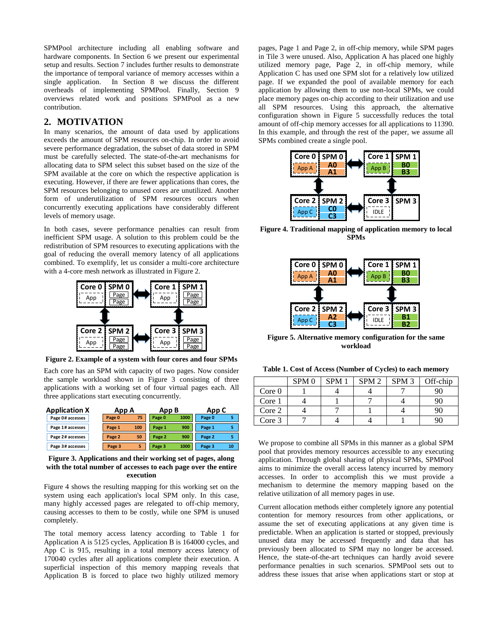SPMPool architecture including all enabling software and hardware components. In Section 6 we present our experimental setup and results. Section 7 includes further results to demonstrate the importance of temporal variance of memory accesses within a single application. In Section 8 we discuss the different overheads of implementing SPMPool. Finally, Section 9 overviews related work and positions SPMPool as a new contribution.

#### **2. MOTIVATION**

In many scenarios, the amount of data used by applications exceeds the amount of SPM resources on-chip. In order to avoid severe performance degradation, the subset of data stored in SPM must be carefully selected. The state-of-the-art mechanisms for allocating data to SPM select this subset based on the size of the SPM available at the core on which the respective application is executing. However, if there are fewer applications than cores, the SPM resources belonging to unused cores are unutilized. Another form of underutilization of SPM resources occurs when concurrently executing applications have considerably different levels of memory usage.

In both cases, severe performance penalties can result from inefficient SPM usage. A solution to this problem could be the redistribution of SPM resources to executing applications with the goal of reducing the overall memory latency of all applications combined. To exemplify, let us consider a multi-core architecture with a 4-core mesh network as illustrated in Figure 2.



**Figure 2. Example of a system with four cores and four SPMs**

Each core has an SPM with capacity of two pages. Now consider the sample workload shown in Figure 3 consisting of three applications with a working set of four virtual pages each. All three applications start executing concurrently.

| <b>Application X</b> |        | App B<br>App A |        | App C |        |    |
|----------------------|--------|----------------|--------|-------|--------|----|
| Page 0# accesses     | Page 0 | 75             | Page 0 | 1000  | Page 0 |    |
| Page 1# accesses     | Page 1 | 100            | Page 1 | 900   | Page 1 |    |
| Page 2# accesses     | Page 2 | 50             | Page 2 | 900   | Page 2 |    |
| Page 3# accesses     | Page 3 |                | Page 3 | 1000  | Page 3 | 10 |

**Figure 3. Applications and their working set of pages, along with the total number of accesses to each page over the entire execution**

Figure 4 shows the resulting mapping for this working set on the system using each application's local SPM only. In this case, many highly accessed pages are relegated to off-chip memory, causing accesses to them to be costly, while one SPM is unused completely.

The total memory access latency according to Table 1 for Application A is 5125 cycles, Application B is 164000 cycles, and App C is 915, resulting in a total memory access latency of 170040 cycles after all applications complete their execution. A superficial inspection of this memory mapping reveals that Application B is forced to place two highly utilized memory

pages, Page 1 and Page 2, in off-chip memory, while SPM pages in Tile 3 were unused. Also, Application A has placed one highly utilized memory page, Page 2, in off-chip memory, while Application C has used one SPM slot for a relatively low utilized page. If we expanded the pool of available memory for each application by allowing them to use non-local SPMs, we could place memory pages on-chip according to their utilization and use all SPM resources. Using this approach, the alternative configuration shown in Figure 5 successfully reduces the total amount of off-chip memory accesses for all applications to 11390. In this example, and through the rest of the paper, we assume all SPMs combined create a single pool.



**Figure 4. Traditional mapping of application memory to local SPMs**



**Figure 5. Alternative memory configuration for the same workload**

|        | SPM <sub>0</sub> | SPM <sub>1</sub> | SPM <sub>2</sub> | SPM <sub>3</sub> | Off-chip |
|--------|------------------|------------------|------------------|------------------|----------|
| Core 0 |                  |                  |                  |                  |          |
| Core 1 |                  |                  |                  |                  |          |
| Core 2 |                  |                  |                  |                  |          |
| Core 3 |                  |                  |                  |                  |          |

We propose to combine all SPMs in this manner as a global SPM pool that provides memory resources accessible to any executing application. Through global sharing of physical SPMs, SPMPool aims to minimize the overall access latency incurred by memory accesses. In order to accomplish this we must provide a mechanism to determine the memory mapping based on the relative utilization of all memory pages in use.

Current allocation methods either completely ignore any potential contention for memory resources from other applications, or assume the set of executing applications at any given time is predictable. When an application is started or stopped, previously unused data may be accessed frequently and data that has previously been allocated to SPM may no longer be accessed. Hence, the state-of-the-art techniques can hardly avoid severe performance penalties in such scenarios. SPMPool sets out to address these issues that arise when applications start or stop at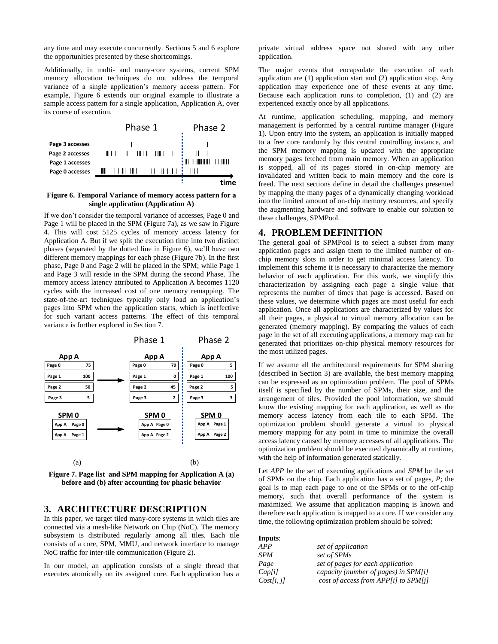any time and may execute concurrently. Sections 5 and 6 explore the opportunities presented by these shortcomings.

Additionally, in multi- and many-core systems, current SPM memory allocation techniques do not address the temporal variance of a single application's memory access pattern. For example, Figure 6 extends our original example to illustrate a sample access pattern for a single application, Application A, over its course of execution.



#### **Figure 6. Temporal Variance of memory access pattern for a single application (Application A)**

If we don't consider the temporal variance of accesses, Page 0 and Page 1 will be placed in the SPM (Figure 7a), as we saw in Figure 4. This will cost 5125 cycles of memory access latency for Application A. But if we split the execution time into two distinct phases (separated by the dotted line in Figure 6), we'll have two different memory mappings for each phase (Figure 7b). In the first phase, Page 0 and Page 2 will be placed in the SPM; while Page 1 and Page 3 will reside in the SPM during the second Phase. The memory access latency attributed to Application A becomes 1120 cycles with the increased cost of one memory remapping. The state-of-the-art techniques typically only load an application's pages into SPM when the application starts, which is ineffective for such variant access patterns. The effect of this temporal variance is further explored in Section 7.





### **3. ARCHITECTURE DESCRIPTION**

In this paper, we target tiled many-core systems in which tiles are connected via a mesh-like Network on Chip (NoC). The memory subsystem is distributed regularly among all tiles. Each tile consists of a core, SPM, MMU, and network interface to manage NoC traffic for inter-tile communication (Figure 2).

In our model, an application consists of a single thread that executes atomically on its assigned core. Each application has a

private virtual address space not shared with any other application.

The major events that encapsulate the execution of each application are (1) application start and (2) application stop. Any application may experience one of these events at any time. Because each application runs to completion, (1) and (2) are experienced exactly once by all applications.

At runtime, application scheduling, mapping, and memory management is performed by a central runtime manager (Figure 1). Upon entry into the system, an application is initially mapped to a free core randomly by this central controlling instance, and the SPM memory mapping is updated with the appropriate memory pages fetched from main memory. When an application is stopped, all of its pages stored in on-chip memory are invalidated and written back to main memory and the core is freed. The next sections define in detail the challenges presented by mapping the many pages of a dynamically changing workload into the limited amount of on-chip memory resources, and specify the augmenting hardware and software to enable our solution to these challenges, SPMPool.

#### **4. PROBLEM DEFINITION**

The general goal of SPMPool is to select a subset from many application pages and assign them to the limited number of onchip memory slots in order to get minimal access latency. To implement this scheme it is necessary to characterize the memory behavior of each application. For this work, we simplify this characterization by assigning each page a single value that represents the number of times that page is accessed. Based on these values, we determine which pages are most useful for each application. Once all applications are characterized by values for all their pages, a physical to virtual memory allocation can be generated (memory mapping). By comparing the values of each page in the set of all executing applications, a memory map can be generated that prioritizes on-chip physical memory resources for the most utilized pages.

If we assume all the architectural requirements for SPM sharing (described in Section 3) are available, the best memory mapping can be expressed as an optimization problem. The pool of SPMs itself is specified by the number of SPMs, their size, and the arrangement of tiles. Provided the pool information, we should know the existing mapping for each application, as well as the memory access latency from each tile to each SPM. The optimization problem should generate a virtual to physical memory mapping for any point in time to minimize the overall access latency caused by memory accesses of all applications. The optimization problem should be executed dynamically at runtime, with the help of information generated statically.

Let *APP* be the set of executing applications and *SPM* be the set of SPMs on the chip. Each application has a set of pages, *P*; the goal is to map each page to one of the SPMs or to the off-chip memory, such that overall performance of the system is maximized. We assume that application mapping is known and therefore each application is mapped to a core. If we consider any time, the following optimization problem should be solved:

| Inputs:    |                                      |
|------------|--------------------------------------|
| APP        | set of application                   |
| <b>SPM</b> | set of SPMs                          |
| Page       | set of pages for each application    |
| Cap[i]     | capacity (number of pages) in SPM[i] |
| Cost[i, j] | cost of access from APP[i] to SPM[j] |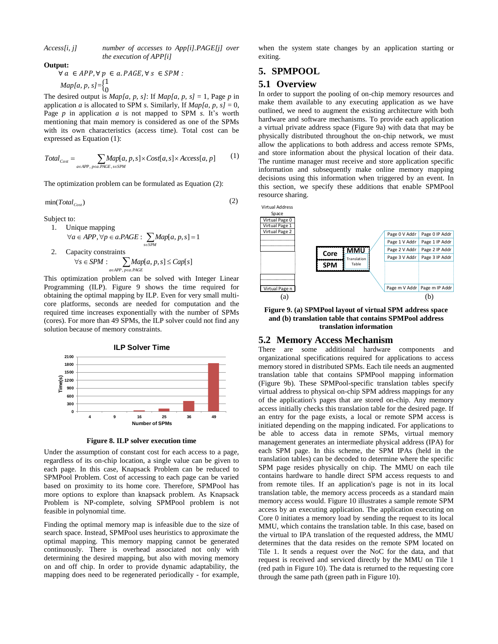*Access[i, j] number of accesses to App[i].PAGE[j] over the execution of APP[i]*

#### **Output:**

$$
\forall a \in APP, \forall p \in a.PAGE, \forall s \in SPM :
$$
  
Map[a, p, s] =  $\begin{cases} 1 \\ 0 \end{cases}$ 

The desired output is  $Map[a, p, s]$ : If  $Map[a, p, s] = 1$ , Page *p* in application *a* is allocated to SPM *s*. Similarly, If  $Map[a, p, s] = 0$ , Page *p* in application *a* is not mapped to SPM *s*. It's worth mentioning that main memory is considered as one of the SPMs with its own characteristics (access time). Total cost can be expressed as Equation (1):

$$
Total_{Cost} = \sum_{a \in APP, p \in a, PAGE, s \in SPM} Map[a, p, s] \times Cost[a, s] \times Access[a, p] \tag{1}
$$

The optimization problem can be formulated as Equation (2):

$$
\min(Total_{\text{Cost}}) \tag{2}
$$

Subject to:

1. Unique mapping  
\n
$$
\forall a \in APP, \forall p \in a.PAGE: \sum_{s \in SPM} Map[a, p, s] = 1
$$

2. Capacity constraints  $\forall s \in SPM : \sum Map[a, p, s] \le Cap[s]$ *a* ∈ *APP*,  $p$  ∈ *a* .*PAGE* 

This optimization problem can be solved with Integer Linear Programming (ILP). Figure 9 shows the time required for obtaining the optimal mapping by ILP. Even for very small multicore platforms, seconds are needed for computation and the required time increases exponentially with the number of SPMs (cores). For more than 49 SPMs, the ILP solver could not find any solution because of memory constraints.



**Figure 8. ILP solver execution time**

Under the assumption of constant cost for each access to a page, regardless of its on-chip location, a single value can be given to each page. In this case, Knapsack Problem can be reduced to SPMPool Problem. Cost of accessing to each page can be varied based on proximity to its home core. Therefore, SPMPool has more options to explore than knapsack problem. As Knapsack Problem is NP-complete, solving SPMPool problem is not feasible in polynomial time.

Finding the optimal memory map is infeasible due to the size of search space. Instead, SPMPool uses heuristics to approximate the optimal mapping. This memory mapping cannot be generated continuously. There is overhead associated not only with determining the desired mapping, but also with moving memory on and off chip. In order to provide dynamic adaptability, the mapping does need to be regenerated periodically - for example,

when the system state changes by an application starting or exiting.

### **5. SPMPOOL**

#### **5.1 Overview**

In order to support the pooling of on-chip memory resources and make them available to any executing application as we have outlined, we need to augment the existing architecture with both hardware and software mechanisms. To provide each application a virtual private address space (Figure 9a) with data that may be physically distributed throughout the on-chip network, we must allow the applications to both address and access remote SPMs, and store information about the physical location of their data. The runtime manager must receive and store application specific information and subsequently make online memory mapping decisions using this information when triggered by an event. In this section, we specify these additions that enable SPMPool resource sharing.



**Figure 9. (a) SPMPool layout of virtual SPM address space and (b) translation table that contains SPMPool address translation information**

#### **5.2 Memory Access Mechanism**

There are some additional hardware components and organizational specifications required for applications to access memory stored in distributed SPMs. Each tile needs an augmented translation table that contains SPMPool mapping information (Figure 9b). These SPMPool-specific translation tables specify virtual address to physical on-chip SPM address mappings for any of the application's pages that are stored on-chip. Any memory access initially checks this translation table for the desired page. If an entry for the page exists, a local or remote SPM access is initiated depending on the mapping indicated. For applications to be able to access data in remote SPMs, virtual memory management generates an intermediate physical address (IPA) for each SPM page. In this scheme, the SPM IPAs (held in the translation tables) can be decoded to determine where the specific SPM page resides physically on chip. The MMU on each tile contains hardware to handle direct SPM access requests to and from remote tiles. If an application's page is not in its local translation table, the memory access proceeds as a standard main memory access would. Figure 10 illustrates a sample remote SPM access by an executing application. The application executing on Core 0 initiates a memory load by sending the request to its local MMU, which contains the translation table. In this case, based on the virtual to IPA translation of the requested address, the MMU determines that the data resides on the remote SPM located on Tile 1. It sends a request over the NoC for the data, and that request is received and serviced directly by the MMU on Tile 1 (red path in Figure 10). The data is returned to the requesting core through the same path (green path in Figure 10).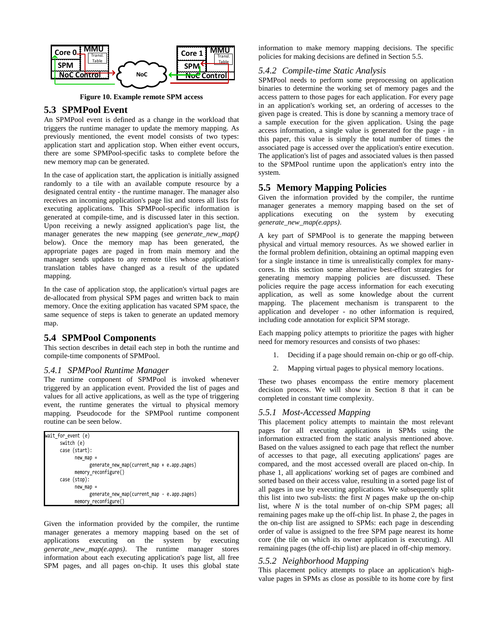

**Figure 10. Example remote SPM access**

# **5.3 SPMPool Event**

An SPMPool event is defined as a change in the workload that triggers the runtime manager to update the memory mapping. As previously mentioned, the event model consists of two types: application start and application stop. When either event occurs, there are some SPMPool-specific tasks to complete before the new memory map can be generated.

In the case of application start, the application is initially assigned randomly to a tile with an available compute resource by a designated central entity - the runtime manager. The manager also receives an incoming application's page list and stores all lists for executing applications. This SPMPool-specific information is generated at compile-time, and is discussed later in this section. Upon receiving a newly assigned application's page list, the manager generates the new mapping (see *generate\_new\_map()* below). Once the memory map has been generated, the appropriate pages are paged in from main memory and the manager sends updates to any remote tiles whose application's translation tables have changed as a result of the updated mapping.

In the case of application stop, the application's virtual pages are de-allocated from physical SPM pages and written back to main memory. Once the exiting application has vacated SPM space, the same sequence of steps is taken to generate an updated memory map.

## **5.4 SPMPool Components**

This section describes in detail each step in both the runtime and compile-time components of SPMPool.

### *5.4.1 SPMPool Runtime Manager*

The runtime component of SPMPool is invoked whenever triggered by an application event. Provided the list of pages and values for all active applications, as well as the type of triggering event, the runtime generates the virtual to physical memory mapping. Pseudocode for the SPMPool runtime component routine can be seen below.

| wait_for_event (e)                          |  |
|---------------------------------------------|--|
| switch (e)                                  |  |
| case (start):                               |  |
| $new_map =$                                 |  |
| generate_new_map(current_map + e.app.pages) |  |
| memory_reconfigure()                        |  |
| case (stop):                                |  |
| $new_map =$                                 |  |
| generate_new_map(current_map - e.app.pages) |  |
| memory_reconfigure()                        |  |

Given the information provided by the compiler, the runtime manager generates a memory mapping based on the set of applications executing on the system by executing *generate\_new\_map(e.apps)*. The runtime manager stores information about each executing application's page list, all free SPM pages, and all pages on-chip. It uses this global state information to make memory mapping decisions. The specific policies for making decisions are defined in Section 5.5.

## *5.4.2 Compile-time Static Analysis*

SPMPool needs to perform some preprocessing on application binaries to determine the working set of memory pages and the access pattern to those pages for each application. For every page in an application's working set, an ordering of accesses to the given page is created. This is done by scanning a memory trace of a sample execution for the given application. Using the page access information, a single value is generated for the page - in this paper, this value is simply the total number of times the associated page is accessed over the application's entire execution. The application's list of pages and associated values is then passed to the SPMPool runtime upon the application's entry into the system.

# **5.5 Memory Mapping Policies**

Given the information provided by the compiler, the runtime manager generates a memory mapping based on the set of applications executing on the system by executing *generate\_new\_map(e.apps)*.

A key part of SPMPool is to generate the mapping between physical and virtual memory resources. As we showed earlier in the formal problem definition, obtaining an optimal mapping even for a single instance in time is unrealistically complex for manycores. In this section some alternative best-effort strategies for generating memory mapping policies are discussed. These policies require the page access information for each executing application, as well as some knowledge about the current mapping. The placement mechanism is transparent to the application and developer - no other information is required, including code annotation for explicit SPM storage.

Each mapping policy attempts to prioritize the pages with higher need for memory resources and consists of two phases:

- 1. Deciding if a page should remain on-chip or go off-chip.
- 2. Mapping virtual pages to physical memory locations.

These two phases encompass the entire memory placement decision process. We will show in Section 8 that it can be completed in constant time complexity.

### *5.5.1 Most-Accessed Mapping*

This placement policy attempts to maintain the most relevant pages for all executing applications in SPMs using the information extracted from the static analysis mentioned above. Based on the values assigned to each page that reflect the number of accesses to that page, all executing applications' pages are compared, and the most accessed overall are placed on-chip. In phase 1, all applications' working set of pages are combined and sorted based on their access value, resulting in a sorted page list of all pages in use by executing applications. We subsequently split this list into two sub-lists: the first *N* pages make up the on-chip list, where *N* is the total number of on-chip SPM pages; all remaining pages make up the off-chip list. In phase 2, the pages in the on-chip list are assigned to SPMs: each page in descending order of value is assigned to the free SPM page nearest its home core (the tile on which its owner application is executing). All remaining pages (the off-chip list) are placed in off-chip memory.

### *5.5.2 Neighborhood Mapping*

This placement policy attempts to place an application's highvalue pages in SPMs as close as possible to its home core by first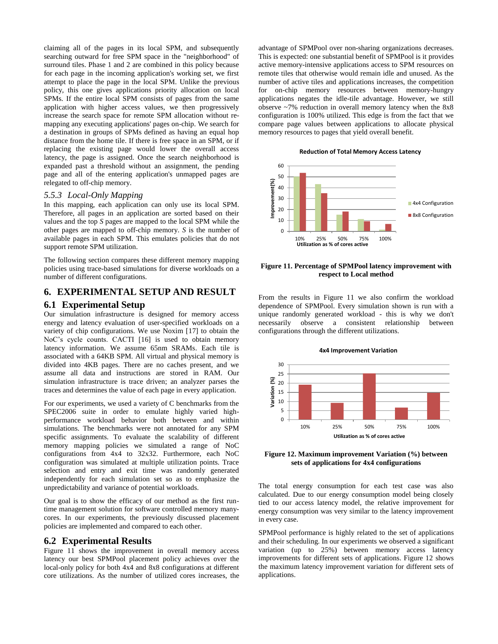claiming all of the pages in its local SPM, and subsequently searching outward for free SPM space in the "neighborhood" of surround tiles. Phase 1 and 2 are combined in this policy because for each page in the incoming application's working set, we first attempt to place the page in the local SPM. Unlike the previous policy, this one gives applications priority allocation on local SPMs. If the entire local SPM consists of pages from the same application with higher access values, we then progressively increase the search space for remote SPM allocation without remapping any executing applications' pages on-chip. We search for a destination in groups of SPMs defined as having an equal hop distance from the home tile. If there is free space in an SPM, or if replacing the existing page would lower the overall access latency, the page is assigned. Once the search neighborhood is expanded past a threshold without an assignment, the pending page and all of the entering application's unmapped pages are relegated to off-chip memory.

#### *5.5.3 Local-Only Mapping*

In this mapping, each application can only use its local SPM. Therefore, all pages in an application are sorted based on their values and the top *S* pages are mapped to the local SPM while the other pages are mapped to off-chip memory. *S* is the number of available pages in each SPM. This emulates policies that do not support remote SPM utilization.

The following section compares these different memory mapping policies using trace-based simulations for diverse workloads on a number of different configurations.

# **6. EXPERIMENTAL SETUP AND RESULT**

#### **6.1 Experimental Setup**

Our simulation infrastructure is designed for memory access energy and latency evaluation of user-specified workloads on a variety of chip configurations. We use Noxim [17] to obtain the NoC's cycle counts. CACTI [16] is used to obtain memory latency information. We assume 65nm SRAMs. Each tile is associated with a 64KB SPM. All virtual and physical memory is divided into 4KB pages. There are no caches present, and we assume all data and instructions are stored in RAM. Our simulation infrastructure is trace driven; an analyzer parses the traces and determines the value of each page in every application.

For our experiments, we used a variety of C benchmarks from the SPEC2006 suite in order to emulate highly varied highperformance workload behavior both between and within simulations. The benchmarks were not annotated for any SPM specific assignments. To evaluate the scalability of different memory mapping policies we simulated a range of NoC configurations from 4x4 to 32x32. Furthermore, each NoC configuration was simulated at multiple utilization points. Trace selection and entry and exit time was randomly generated independently for each simulation set so as to emphasize the unpredictability and variance of potential workloads.

Our goal is to show the efficacy of our method as the first runtime management solution for software controlled memory manycores. In our experiments, the previously discussed placement policies are implemented and compared to each other.

#### **6.2 Experimental Results**

Figure 11 shows the improvement in overall memory access latency our best SPMPool placement policy achieves over the local-only policy for both 4x4 and 8x8 configurations at different core utilizations. As the number of utilized cores increases, the advantage of SPMPool over non-sharing organizations decreases. This is expected: one substantial benefit of SPMPool is it provides active memory-intensive applications access to SPM resources on remote tiles that otherwise would remain idle and unused. As the number of active tiles and applications increases, the competition for on-chip memory resources between memory-hungry applications negates the idle-tile advantage. However, we still observe ~7% reduction in overall memory latency when the 8x8 configuration is 100% utilized. This edge is from the fact that we compare page values between applications to allocate physical memory resources to pages that yield overall benefit.

#### **Reduction of Total Memory Access Latency**



#### **Figure 11. Percentage of SPMPool latency improvement with respect to Local method**

From the results in Figure 11 we also confirm the workload dependence of SPMPool. Every simulation shown is run with a unique randomly generated workload - this is why we don't necessarily observe a consistent relationship between configurations through the different utilizations.



**Figure 12. Maximum improvement Variation (%) between sets of applications for 4x4 configurations**

The total energy consumption for each test case was also calculated. Due to our energy consumption model being closely tied to our access latency model, the relative improvement for energy consumption was very similar to the latency improvement in every case.

SPMPool performance is highly related to the set of applications and their scheduling. In our experiments we observed a significant variation (up to 25%) between memory access latency improvements for different sets of applications. Figure 12 shows the maximum latency improvement variation for different sets of applications.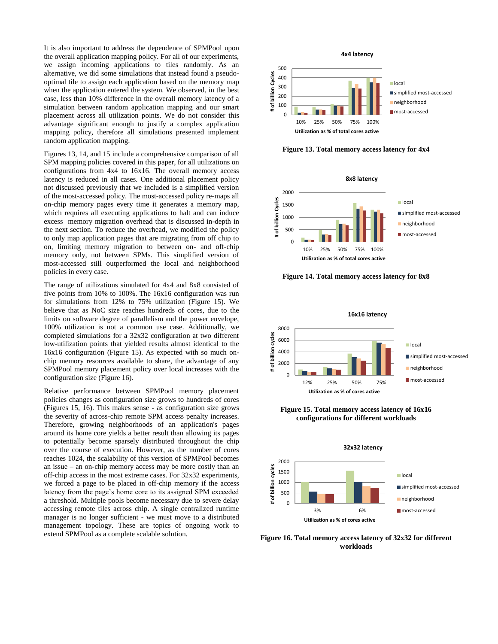It is also important to address the dependence of SPMPool upon the overall application mapping policy. For all of our experiments, we assign incoming applications to tiles randomly. As an alternative, we did some simulations that instead found a pseudooptimal tile to assign each application based on the memory map when the application entered the system. We observed, in the best case, less than 10% difference in the overall memory latency of a simulation between random application mapping and our smart placement across all utilization points. We do not consider this advantage significant enough to justify a complex application mapping policy, therefore all simulations presented implement random application mapping.

Figures 13, 14, and 15 include a comprehensive comparison of all SPM mapping policies covered in this paper, for all utilizations on configurations from 4x4 to 16x16. The overall memory access latency is reduced in all cases. One additional placement policy not discussed previously that we included is a simplified version of the most-accessed policy. The most-accessed policy re-maps all on-chip memory pages every time it generates a memory map, which requires all executing applications to halt and can induce excess memory migration overhead that is discussed in-depth in the next section. To reduce the overhead, we modified the policy to only map application pages that are migrating from off chip to on, limiting memory migration to between on- and off-chip memory only, not between SPMs. This simplified version of most-accessed still outperformed the local and neighborhood policies in every case.

The range of utilizations simulated for 4x4 and 8x8 consisted of five points from 10% to 100%. The 16x16 configuration was run for simulations from 12% to 75% utilization (Figure 15). We believe that as NoC size reaches hundreds of cores, due to the limits on software degree of parallelism and the power envelope, 100% utilization is not a common use case. Additionally, we completed simulations for a 32x32 configuration at two different low-utilization points that yielded results almost identical to the 16x16 configuration (Figure 15). As expected with so much onchip memory resources available to share, the advantage of any SPMPool memory placement policy over local increases with the configuration size (Figure 16).

Relative performance between SPMPool memory placement policies changes as configuration size grows to hundreds of cores (Figures 15, 16). This makes sense - as configuration size grows the severity of across-chip remote SPM access penalty increases. Therefore, growing neighborhoods of an application's pages around its home core yields a better result than allowing its pages to potentially become sparsely distributed throughout the chip over the course of execution. However, as the number of cores reaches 1024, the scalability of this version of SPMPool becomes an issue – an on-chip memory access may be more costly than an off-chip access in the most extreme cases. For 32x32 experiments, we forced a page to be placed in off-chip memory if the access latency from the page's home core to its assigned SPM exceeded a threshold. Multiple pools become necessary due to severe delay accessing remote tiles across chip. A single centralized runtime manager is no longer sufficient - we must move to a distributed management topology. These are topics of ongoing work to extend SPMPool as a complete scalable solution.



**Figure 13. Total memory access latency for 4x4**



**Figure 14. Total memory access latency for 8x8**



**Figure 15. Total memory access latency of 16x16 configurations for different workloads**



**Figure 16. Total memory access latency of 32x32 for different workloads**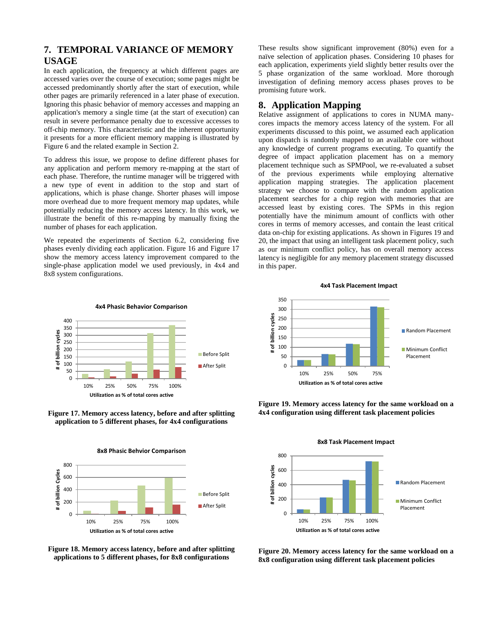# **7. TEMPORAL VARIANCE OF MEMORY USAGE**

In each application, the frequency at which different pages are accessed varies over the course of execution; some pages might be accessed predominantly shortly after the start of execution, while other pages are primarily referenced in a later phase of execution. Ignoring this phasic behavior of memory accesses and mapping an application's memory a single time (at the start of execution) can result in severe performance penalty due to excessive accesses to off-chip memory. This characteristic and the inherent opportunity it presents for a more efficient memory mapping is illustrated by Figure 6 and the related example in Section 2.

To address this issue, we propose to define different phases for any application and perform memory re-mapping at the start of each phase. Therefore, the runtime manager will be triggered with a new type of event in addition to the stop and start of applications, which is phase change. Shorter phases will impose more overhead due to more frequent memory map updates, while potentially reducing the memory access latency. In this work, we illustrate the benefit of this re-mapping by manually fixing the number of phases for each application.

We repeated the experiments of Section 6.2, considering five phases evenly dividing each application. Figure 16 and Figure 17 show the memory access latency improvement compared to the single-phase application model we used previously, in 4x4 and 8x8 system configurations.

These results show significant improvement (80%) even for a naïve selection of application phases. Considering 10 phases for each application, experiments yield slightly better results over the 5 phase organization of the same workload. More thorough investigation of defining memory access phases proves to be promising future work.

### **8. Application Mapping**

Relative assignment of applications to cores in NUMA manycores impacts the memory access latency of the system. For all experiments discussed to this point, we assumed each application upon dispatch is randomly mapped to an available core without any knowledge of current programs executing. To quantify the degree of impact application placement has on a memory placement technique such as SPMPool, we re-evaluated a subset of the previous experiments while employing alternative application mapping strategies. The application placement strategy we choose to compare with the random application placement searches for a chip region with memories that are accessed least by existing cores. The SPMs in this region potentially have the minimum amount of conflicts with other cores in terms of memory accesses, and contain the least critical data on-chip for existing applications. As shown in Figures 19 and 20, the impact that using an intelligent task placement policy, such as our minimum conflict policy, has on overall memory access latency is negligible for any memory placement strategy discussed in this paper.



**Figure 17. Memory access latency, before and after splitting application to 5 different phases, for 4x4 configurations**



**Figure 18. Memory access latency, before and after splitting applications to 5 different phases, for 8x8 configurations**







**Figure 20. Memory access latency for the same workload on a 8x8 configuration using different task placement policies**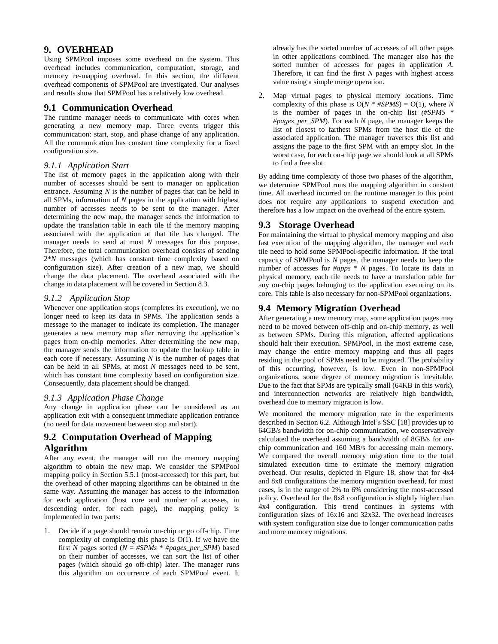## **9. OVERHEAD**

Using SPMPool imposes some overhead on the system. This overhead includes communication, computation, storage, and memory re-mapping overhead. In this section, the different overhead components of SPMPool are investigated. Our analyses and results show that SPMPool has a relatively low overhead.

### **9.1 Communication Overhead**

The runtime manager needs to communicate with cores when generating a new memory map. Three events trigger this communication: start, stop, and phase change of any application. All the communication has constant time complexity for a fixed configuration size.

#### *9.1.1 Application Start*

The list of memory pages in the application along with their number of accesses should be sent to manager on application entrance. Assuming *N* is the number of pages that can be held in all SPMs, information of *N* pages in the application with highest number of accesses needs to be sent to the manager. After determining the new map, the manager sends the information to update the translation table in each tile if the memory mapping associated with the application at that tile has changed. The manager needs to send at most *N* messages for this purpose. Therefore, the total communication overhead consists of sending 2\**N* messages (which has constant time complexity based on configuration size). After creation of a new map, we should change the data placement. The overhead associated with the change in data placement will be covered in Section 8.3.

#### *9.1.2 Application Stop*

Whenever one application stops (completes its execution), we no longer need to keep its data in SPMs. The application sends a message to the manager to indicate its completion. The manager generates a new memory map after removing the application's pages from on-chip memories. After determining the new map, the manager sends the information to update the lookup table in each core if necessary. Assuming *N* is the number of pages that can be held in all SPMs, at most *N* messages need to be sent, which has constant time complexity based on configuration size. Consequently, data placement should be changed.

#### *9.1.3 Application Phase Change*

Any change in application phase can be considered as an application exit with a consequent immediate application entrance (no need for data movement between stop and start).

# **9.2 Computation Overhead of Mapping Algorithm**

After any event, the manager will run the memory mapping algorithm to obtain the new map. We consider the SPMPool mapping policy in Section 5.5.1 (most-accessed) for this part, but the overhead of other mapping algorithms can be obtained in the same way. Assuming the manager has access to the information for each application (host core and number of accesses, in descending order, for each page), the mapping policy is implemented in two parts:

1. Decide if a page should remain on-chip or go off-chip. Time complexity of completing this phase is O(1). If we have the first *N* pages sorted ( $N = \#SPMs * \#pages per SPM$ ) based on their number of accesses, we can sort the list of other pages (which should go off-chip) later. The manager runs this algorithm on occurrence of each SPMPool event. It already has the sorted number of accesses of all other pages in other applications combined. The manager also has the sorted number of accesses for pages in application *A*. Therefore, it can find the first *N* pages with highest access value using a simple merge operation.

2. Map virtual pages to physical memory locations. Time complexity of this phase is  $O(N * \#SPMS) = O(1)$ , where *N* is the number of pages in the on-chip list *(#SPMS* \* *#pages\_per\_SPM*). For each *N* page, the manager keeps the list of closest to farthest SPMs from the host tile of the associated application. The manager traverses this list and assigns the page to the first SPM with an empty slot. In the worst case, for each on-chip page we should look at all SPMs to find a free slot.

By adding time complexity of those two phases of the algorithm, we determine SPMPool runs the mapping algorithm in constant time. All overhead incurred on the runtime manager to this point does not require any applications to suspend execution and therefore has a low impact on the overhead of the entire system.

### **9.3 Storage Overhead**

For maintaining the virtual to physical memory mapping and also fast execution of the mapping algorithm, the manager and each tile need to hold some SPMPool-specific information. If the total capacity of SPMPool is *N* pages, the manager needs to keep the number of accesses for *#apps* \* *N* pages. To locate its data in physical memory, each tile needs to have a translation table for any on-chip pages belonging to the application executing on its core. This table is also necessary for non-SPMPool organizations.

## **9.4 Memory Migration Overhead**

After generating a new memory map, some application pages may need to be moved between off-chip and on-chip memory, as well as between SPMs. During this migration, affected applications should halt their execution. SPMPool, in the most extreme case, may change the entire memory mapping and thus all pages residing in the pool of SPMs need to be migrated. The probability of this occurring, however, is low. Even in non-SPMPool organizations, some degree of memory migration is inevitable. Due to the fact that SPMs are typically small (64KB in this work), and interconnection networks are relatively high bandwidth, overhead due to memory migration is low.

We monitored the memory migration rate in the experiments described in Section 6.2. Although Intel's SSC [18] provides up to 64GB/s bandwidth for on-chip communication, we conservatively calculated the overhead assuming a bandwidth of 8GB/s for onchip communication and 160 MB/s for accessing main memory. We compared the overall memory migration time to the total simulated execution time to estimate the memory migration overhead. Our results, depicted in Figure 18, show that for 4x4 and 8x8 configurations the memory migration overhead, for most cases, is in the range of 2% to 6% considering the most-accessed policy. Overhead for the 8x8 configuration is slightly higher than 4x4 configuration. This trend continues in systems with configuration sizes of 16x16 and 32x32. The overhead increases with system configuration size due to longer communication paths and more memory migrations.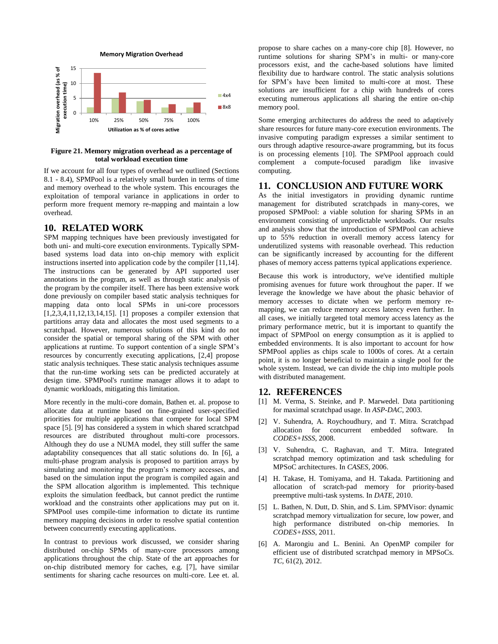

#### **Figure 21. Memory migration overhead as a percentage of total workload execution time**

If we account for all four types of overhead we outlined (Sections 8.1 - 8.4), SPMPool is a relatively small burden in terms of time and memory overhead to the whole system. This encourages the exploitation of temporal variance in applications in order to perform more frequent memory re-mapping and maintain a low overhead.

## **10. RELATED WORK**

SPM mapping techniques have been previously investigated for both uni- and multi-core execution environments. Typically SPMbased systems load data into on-chip memory with explicit instructions inserted into application code by the compiler [11,14]. The instructions can be generated by API supported user annotations in the program, as well as through static analysis of the program by the compiler itself. There has been extensive work done previously on compiler based static analysis techniques for mapping data onto local SPMs in uni-core processors [1,2,3,4,11,12,13,14,15]. [1] proposes a compiler extension that partitions array data and allocates the most used segments to a scratchpad. However, numerous solutions of this kind do not consider the spatial or temporal sharing of the SPM with other applications at runtime. To support contention of a single SPM's resources by concurrently executing applications, [2,4] propose static analysis techniques. These static analysis techniques assume that the run-time working sets can be predicted accurately at design time. SPMPool's runtime manager allows it to adapt to dynamic workloads, mitigating this limitation.

More recently in the multi-core domain, Bathen et. al. propose to allocate data at runtime based on fine-grained user-specified priorities for multiple applications that compete for local SPM space [5]. [9] has considered a system in which shared scratchpad resources are distributed throughout multi-core processors. Although they do use a NUMA model, they still suffer the same adaptability consequences that all static solutions do. In [6], a multi-phase program analysis is proposed to partition arrays by simulating and monitoring the program's memory accesses, and based on the simulation input the program is compiled again and the SPM allocation algorithm is implemented. This technique exploits the simulation feedback, but cannot predict the runtime workload and the constraints other applications may put on it. SPMPool uses compile-time information to dictate its runtime memory mapping decisions in order to resolve spatial contention between concurrently executing applications.

In contrast to previous work discussed, we consider sharing distributed on-chip SPMs of many-core processors among applications throughout the chip. State of the art approaches for on-chip distributed memory for caches, e.g. [7], have similar sentiments for sharing cache resources on multi-core. Lee et. al.

propose to share caches on a many-core chip [8]. However, no runtime solutions for sharing SPM's in multi- or many-core processors exist, and the cache-based solutions have limited flexibility due to hardware control. The static analysis solutions for SPM's have been limited to multi-core at most. These solutions are insufficient for a chip with hundreds of cores executing numerous applications all sharing the entire on-chip memory pool.

Some emerging architectures do address the need to adaptively share resources for future many-core execution environments. The invasive computing paradigm expresses a similar sentiment to ours through adaptive resource-aware programming, but its focus is on processing elements [10]. The SPMPool approach could complement a compute-focused paradigm like invasive computing.

## **11. CONCLUSION AND FUTURE WORK**

As the initial investigators in providing dynamic runtime management for distributed scratchpads in many-cores, we proposed SPMPool: a viable solution for sharing SPMs in an environment consisting of unpredictable workloads. Our results and analysis show that the introduction of SPMPool can achieve up to 55% reduction in overall memory access latency for underutilized systems with reasonable overhead. This reduction can be significantly increased by accounting for the different phases of memory access patterns typical applications experience.

Because this work is introductory, we've identified multiple promising avenues for future work throughout the paper. If we leverage the knowledge we have about the phasic behavior of memory accesses to dictate when we perform memory remapping, we can reduce memory access latency even further. In all cases, we initially targeted total memory access latency as the primary performance metric, but it is important to quantify the impact of SPMPool on energy consumption as it is applied to embedded environments. It is also important to account for how SPMPool applies as chips scale to 1000s of cores. At a certain point, it is no longer beneficial to maintain a single pool for the whole system. Instead, we can divide the chip into multiple pools with distributed management.

## **12. REFERENCES**

- [1] M. Verma, S. Steinke, and P. Marwedel. Data partitioning for maximal scratchpad usage. In *ASP-DAC*, 2003.
- [2] V. Suhendra, A. Roychoudhury, and T. Mitra. Scratchpad allocation for concurrent embedded software. In *CODES+ISSS*, 2008.
- [3] V. Suhendra, C. Raghavan, and T. Mitra. Integrated scratchpad memory optimization and task scheduling for MPSoC architectures. In *CASES*, 2006.
- [4] H. Takase, H. Tomiyama, and H. Takada. Partitioning and allocation of scratch-pad memory for priority-based preemptive multi-task systems. In *DATE*, 2010.
- [5] L. Bathen, N. Dutt, D. Shin, and S. Lim. SPMVisor: dynamic scratchpad memory virtualization for secure, low power, and high performance distributed on-chip memories. In *CODES+ISSS*, 2011.
- [6] A. Marongiu and L. Benini. An OpenMP compiler for efficient use of distributed scratchpad memory in MPSoCs. *TC*, 61(2), 2012.